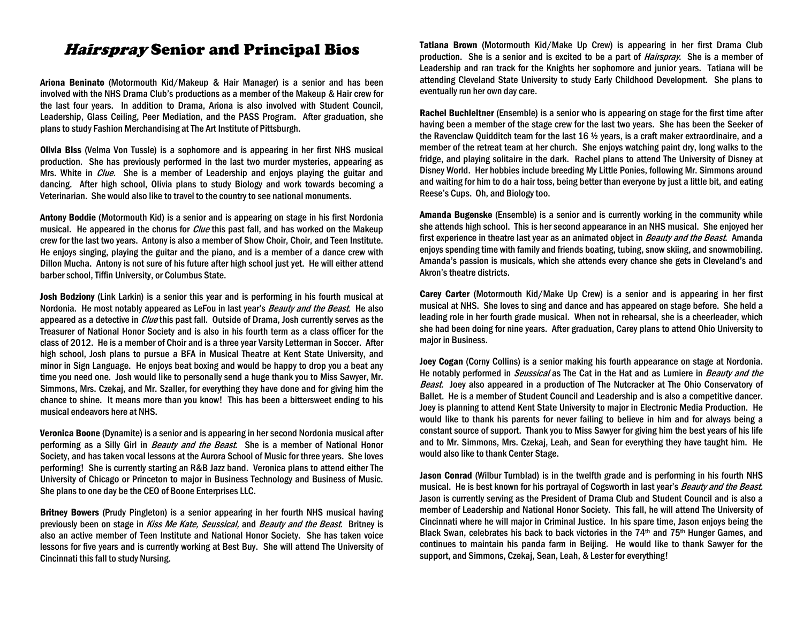## Hairspray Senior and Principal Bios

Ariona Beninato (Motormouth Kid/Makeup & Hair Manager) is a senior and has been involved with the NHS Drama Club's productions as a member of the Makeup & Hair crew for the last four years. In addition to Drama, Ariona is also involved with Student Council, Leadership, Glass Ceiling, Peer Mediation, and the PASS Program. After graduation, she plans to study Fashion Merchandising at The Art Institute of Pittsburgh.

Olivia Biss (Velma Von Tussle) is a sophomore and is appearing in her first NHS musical production. She has previously performed in the last two murder mysteries, appearing as Mrs. White in *Clue*. She is a member of Leadership and enjoys playing the guitar and dancing. After high school, Olivia plans to study Biology and work towards becoming a Veterinarian. She would also like to travel to the country to see national monuments.

Antony Boddie (Motormouth Kid) is a senior and is appearing on stage in his first Nordonia musical. He appeared in the chorus for *Clue* this past fall, and has worked on the Makeup crew for the last two years. Antony is also a member of Show Choir, Choir, and Teen Institute. He enjoys singing, playing the guitar and the piano, and is a member of a dance crew with Dillon Mucha. Antony is not sure of his future after high school just yet. He will either attend barber school, Tiffin University, or Columbus State.

Josh Bodziony (Link Larkin) is a senior this year and is performing in his fourth musical at Nordonia. He most notably appeared as LeFou in last year's *Beauty and the Beast*. He also appeared as a detective in Clue this past fall. Outside of Drama, Josh currently serves as the Treasurer of National Honor Society and is also in his fourth term as a class officer for the class of 2012. He is a member of Choir and is a three year Varsity Letterman in Soccer. After high school, Josh plans to pursue a BFA in Musical Theatre at Kent State University, and minor in Sign Language. He enjoys beat boxing and would be happy to drop you a beat any time you need one. Josh would like to personally send a huge thank you to Miss Sawyer, Mr. Simmons, Mrs. Czekaj, and Mr. Szaller, for everything they have done and for giving him the chance to shine. It means more than you know! This has been a bittersweet ending to his musical endeavors here at NHS.

Veronica Boone (Dynamite) is a senior and is appearing in her second Nordonia musical after performing as a Silly Girl in *Beauty and the Beast*. She is a member of National Honor Society, and has taken vocal lessons at the Aurora School of Music for three years. She loves performing! She is currently starting an R&B Jazz band. Veronica plans to attend either The University of Chicago or Princeton to major in Business Technology and Business of Music. She plans to one day be the CEO of Boone Enterprises LLC.

Britney Bowers (Prudy Pingleton) is a senior appearing in her fourth NHS musical having previously been on stage in Kiss Me Kate, Seussical, and Beauty and the Beast. Britney is also an active member of Teen Institute and National Honor Society. She has taken voice lessons for five years and is currently working at Best Buy. She will attend The University of Cincinnati this fall to study Nursing.

Tatiana Brown (Motormouth Kid/Make Up Crew) is appearing in her first Drama Club production. She is a senior and is excited to be a part of *Hairspray*. She is a member of Leadership and ran track for the Knights her sophomore and junior years. Tatiana will be attending Cleveland State University to study Early Childhood Development. She plans to eventually run her own day care.

Rachel Buchleitner (Ensemble) is a senior who is appearing on stage for the first time after having been a member of the stage crew for the last two years. She has been the Seeker of the Ravenclaw Quidditch team for the last 16 ½ years, is a craft maker extraordinaire, and a member of the retreat team at her church. She enjoys watching paint dry, long walks to the fridge, and playing solitaire in the dark. Rachel plans to attend The University of Disney at Disney World. Her hobbies include breeding My Little Ponies, following Mr. Simmons around and waiting for him to do a hair toss, being better than everyone by just a little bit, and eating Reese's Cups. Oh, and Biology too.

Amanda Bugenske (Ensemble) is a senior and is currently working in the community while she attends high school. This is her second appearance in an NHS musical. She enjoyed her first experience in theatre last year as an animated object in *Beauty and the Beast*. Amanda enjoys spending time with family and friends boating, tubing, snow skiing, and snowmobiling. Amanda's passion is musicals, which she attends every chance she gets in Cleveland's and Akron's theatre districts.

Carey Carter (Motormouth Kid/Make Up Crew) is a senior and is appearing in her first musical at NHS. She loves to sing and dance and has appeared on stage before. She held a leading role in her fourth grade musical. When not in rehearsal, she is a cheerleader, which she had been doing for nine years. After graduation, Carey plans to attend Ohio University to major in Business.

Joey Cogan (Corny Collins) is a senior making his fourth appearance on stage at Nordonia. He notably performed in *Seussical* as The Cat in the Hat and as Lumiere in *Beauty and the* **Beast.** Joey also appeared in a production of The Nutcracker at The Ohio Conservatory of Ballet. He is a member of Student Council and Leadership and is also a competitive dancer. Joey is planning to attend Kent State University to major in Electronic Media Production. He would like to thank his parents for never failing to believe in him and for always being a constant source of support. Thank you to Miss Sawyer for giving him the best years of his life and to Mr. Simmons, Mrs. Czekaj, Leah, and Sean for everything they have taught him. He would also like to thank Center Stage.

Jason Conrad (Wilbur Turnblad) is in the twelfth grade and is performing in his fourth NHS musical. He is best known for his portrayal of Cogsworth in last year's *Beauty and the Beast.* Jason is currently serving as the President of Drama Club and Student Council and is also a member of Leadership and National Honor Society. This fall, he will attend The University of Cincinnati where he will major in Criminal Justice. In his spare time, Jason enjoys being the Black Swan, celebrates his back to back victories in the  $74<sup>th</sup>$  and  $75<sup>th</sup>$  Hunger Games, and continues to maintain his panda farm in Beijing. He would like to thank Sawyer for the support, and Simmons, Czekaj, Sean, Leah, & Lester for everything!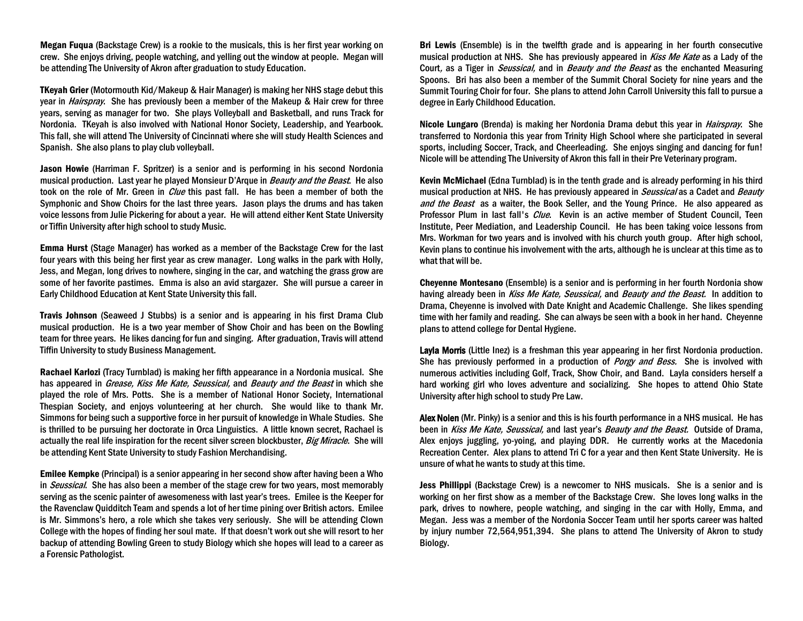Megan Fuqua (Backstage Crew) is a rookie to the musicals, this is her first year working on crew. She enjoys driving, people watching, and yelling out the window at people. Megan will be attending The University of Akron after graduation to study Education.

TKeyah Grier (Motormouth Kid/Makeup & Hair Manager) is making her NHS stage debut this year in *Hairspray*. She has previously been a member of the Makeup & Hair crew for three years, serving as manager for two. She plays Volleyball and Basketball, and runs Track for Nordonia. TKeyah is also involved with National Honor Society, Leadership, and Yearbook. This fall, she will attend The University of Cincinnati where she will study Health Sciences and Spanish. She also plans to play club volleyball.

Jason Howie (Harriman F. Spritzer) is a senior and is performing in his second Nordonia musical production. Last year he played Monsieur D'Arque in *Beauty and the Beast*. He also took on the role of Mr. Green in *Clue* this past fall. He has been a member of both the Symphonic and Show Choirs for the last three years. Jason plays the drums and has taken voice lessons from Julie Pickering for about a year. He will attend either Kent State University or Tiffin University after high school to study Music.

Emma Hurst (Stage Manager) has worked as a member of the Backstage Crew for the last four years with this being her first year as crew manager. Long walks in the park with Holly, Jess, and Megan, long drives to nowhere, singing in the car, and watching the grass grow are some of her favorite pastimes. Emma is also an avid stargazer. She will pursue a career in Early Childhood Education at Kent State University this fall.

Travis Johnson (Seaweed J Stubbs) is a senior and is appearing in his first Drama Club musical production. He is a two year member of Show Choir and has been on the Bowling team for three years. He likes dancing for fun and singing. After graduation, Travis will attend Tiffin University to study Business Management.

Rachael Karlozi (Tracy Turnblad) is making her fifth appearance in a Nordonia musical. She has appeared in *Grease, Kiss Me Kate, Seussical*, and *Beauty and the Beast* in which she played the role of Mrs. Potts. She is a member of National Honor Society, International Thespian Society, and enjoys volunteering at her church. She would like to thank Mr. Simmons for being such a supportive force in her pursuit of knowledge in Whale Studies. She is thrilled to be pursuing her doctorate in Orca Linguistics. A little known secret, Rachael is actually the real life inspiration for the recent silver screen blockbuster, Big Miracle. She will be attending Kent State University to study Fashion Merchandising.

Emilee Kempke (Principal) is a senior appearing in her second show after having been a Who in *Seussical*. She has also been a member of the stage crew for two years, most memorably serving as the scenic painter of awesomeness with last year's trees. Emilee is the Keeper for the Ravenclaw Quidditch Team and spends a lot of her time pining over British actors. Emilee is Mr. Simmons's hero, a role which she takes very seriously. She will be attending Clown College with the hopes of finding her soul mate. If that doesn't work out she will resort to her backup of attending Bowling Green to study Biology which she hopes will lead to a career as a Forensic Pathologist.

Bri Lewis (Ensemble) is in the twelfth grade and is appearing in her fourth consecutive musical production at NHS. She has previously appeared in *Kiss Me Kate* as a Lady of the Court, as a Tiger in *Seussical*, and in *Beauty and the Beast* as the enchanted Measuring Spoons. Bri has also been a member of the Summit Choral Society for nine years and the Summit Touring Choir for four. She plans to attend John Carroll University this fall to pursue a degree in Early Childhood Education.

Nicole Lungaro (Brenda) is making her Nordonia Drama debut this year in *Hairspray*. She transferred to Nordonia this year from Trinity High School where she participated in several sports, including Soccer, Track, and Cheerleading. She enjoys singing and dancing for fun! Nicole will be attending The University of Akron this fall in their Pre Veterinary program.

Kevin McMichael (Edna Turnblad) is in the tenth grade and is already performing in his third musical production at NHS. He has previously appeared in *Seussical* as a Cadet and *Beauty* and the Beast as a waiter, the Book Seller, and the Young Prince. He also appeared as Professor Plum in last fall's *Clue*. Kevin is an active member of Student Council, Teen Institute, Peer Mediation, and Leadership Council. He has been taking voice lessons from Mrs. Workman for two years and is involved with his church youth group. After high school, Kevin plans to continue his involvement with the arts, although he is unclear at this time as to what that will be.

Cheyenne Montesano (Ensemble) is a senior and is performing in her fourth Nordonia show having already been in Kiss Me Kate, Seussical, and Beauty and the Beast. In addition to Drama, Cheyenne is involved with Date Knight and Academic Challenge. She likes spending time with her family and reading. She can always be seen with a book in her hand. Cheyenne plans to attend college for Dental Hygiene.

Layla Morris (Little Inez) is a freshman this year appearing in her first Nordonia production. She has previously performed in a production of *Porgy and Bess.* She is involved with numerous activities including Golf, Track, Show Choir, and Band. Layla considers herself a hard working girl who loves adventure and socializing. She hopes to attend Ohio State University after high school to study Pre Law.

Alex Nolen (Mr. Pinky) is a senior and this is his fourth performance in a NHS musical. He has been in Kiss Me Kate, Seussical, and last year's Beauty and the Beast. Outside of Drama, Alex enjoys juggling, yo-yoing, and playing DDR. He currently works at the Macedonia Recreation Center. Alex plans to attend Tri C for a year and then Kent State University. He is unsure of what he wants to study at this time.

Jess Phillippi (Backstage Crew) is a newcomer to NHS musicals. She is a senior and is working on her first show as a member of the Backstage Crew. She loves long walks in the park, drives to nowhere, people watching, and singing in the car with Holly, Emma, and Megan. Jess was a member of the Nordonia Soccer Team until her sports career was halted by injury number 72,564,951,394. She plans to attend The University of Akron to study Biology.